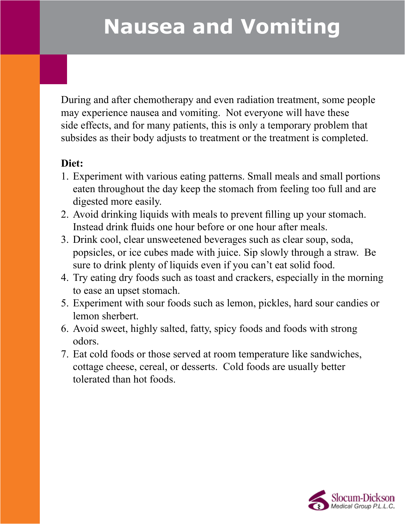## **Nausea and Vomiting**

During and after chemotherapy and even radiation treatment, some people may experience nausea and vomiting. Not everyone will have these side effects, and for many patients, this is only a temporary problem that subsides as their body adjusts to treatment or the treatment is completed.

## **Diet:**

- 1. Experiment with various eating patterns. Small meals and small portions eaten throughout the day keep the stomach from feeling too full and are digested more easily.
- 2. Avoid drinking liquids with meals to prevent filling up your stomach. Instead drink fluids one hour before or one hour after meals.
- 3. Drink cool, clear unsweetened beverages such as clear soup, soda, popsicles, or ice cubes made with juice. Sip slowly through a straw. Be sure to drink plenty of liquids even if you can't eat solid food.
- 4. Try eating dry foods such as toast and crackers, especially in the morning to ease an upset stomach.
- 5. Experiment with sour foods such as lemon, pickles, hard sour candies or lemon sherbert.
- 6. Avoid sweet, highly salted, fatty, spicy foods and foods with strong odors.
- 7. Eat cold foods or those served at room temperature like sandwiches, cottage cheese, cereal, or desserts. Cold foods are usually better tolerated than hot foods.